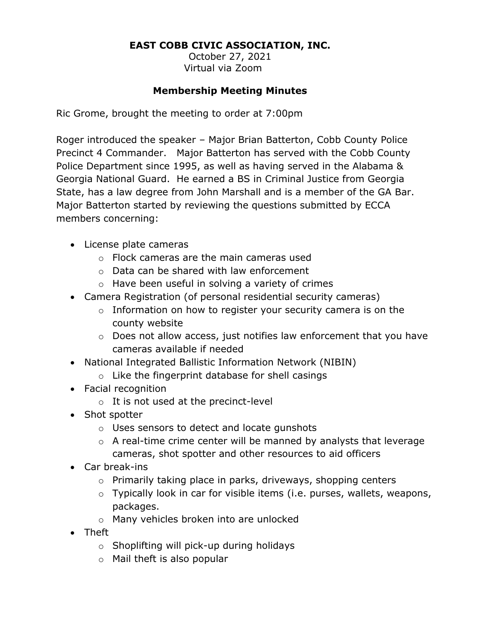### **EAST COBB CIVIC ASSOCIATION, INC.**

October 27, 2021 Virtual via Zoom

#### **Membership Meeting Minutes**

Ric Grome, brought the meeting to order at 7:00pm

Roger introduced the speaker – Major Brian Batterton, Cobb County Police Precinct 4 Commander. Major Batterton has served with the Cobb County Police Department since 1995, as well as having served in the Alabama & Georgia National Guard. He earned a BS in Criminal Justice from Georgia State, has a law degree from John Marshall and is a member of the GA Bar. Major Batterton started by reviewing the questions submitted by ECCA members concerning:

- License plate cameras
	- o Flock cameras are the main cameras used
	- o Data can be shared with law enforcement
	- o Have been useful in solving a variety of crimes
- Camera Registration (of personal residential security cameras)
	- $\circ$  Information on how to register your security camera is on the county website
	- o Does not allow access, just notifies law enforcement that you have cameras available if needed
- National Integrated Ballistic Information Network (NIBIN)
	- o Like the fingerprint database for shell casings
- Facial recognition
	- o It is not used at the precinct-level
- Shot spotter
	- o Uses sensors to detect and locate gunshots
	- o A real-time crime center will be manned by analysts that leverage cameras, shot spotter and other resources to aid officers
- Car break-ins
	- o Primarily taking place in parks, driveways, shopping centers
	- o Typically look in car for visible items (i.e. purses, wallets, weapons, packages.
	- o Many vehicles broken into are unlocked
- Theft
	- o Shoplifting will pick-up during holidays
	- o Mail theft is also popular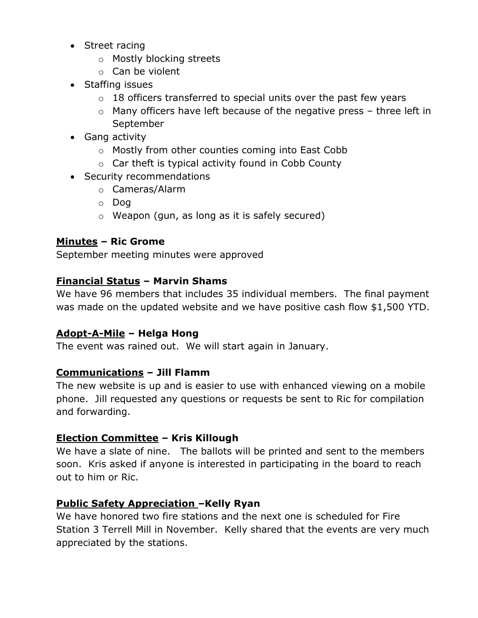- Street racing
	- o Mostly blocking streets
	- o Can be violent
- Staffing issues
	- $\circ$  18 officers transferred to special units over the past few years
	- o Many officers have left because of the negative press three left in September
- Gang activity
	- o Mostly from other counties coming into East Cobb
	- o Car theft is typical activity found in Cobb County
- Security recommendations
	- o Cameras/Alarm
	- o Dog
	- o Weapon (gun, as long as it is safely secured)

## **Minutes – Ric Grome**

September meeting minutes were approved

### **Financial Status – Marvin Shams**

We have 96 members that includes 35 individual members. The final payment was made on the updated website and we have positive cash flow \$1,500 YTD.

### **Adopt-A-Mile – Helga Hong**

The event was rained out. We will start again in January.

### **Communications – Jill Flamm**

The new website is up and is easier to use with enhanced viewing on a mobile phone. Jill requested any questions or requests be sent to Ric for compilation and forwarding.

### **Election Committee – Kris Killough**

We have a slate of nine. The ballots will be printed and sent to the members soon. Kris asked if anyone is interested in participating in the board to reach out to him or Ric.

### **Public Safety Appreciation –Kelly Ryan**

We have honored two fire stations and the next one is scheduled for Fire Station 3 Terrell Mill in November. Kelly shared that the events are very much appreciated by the stations.